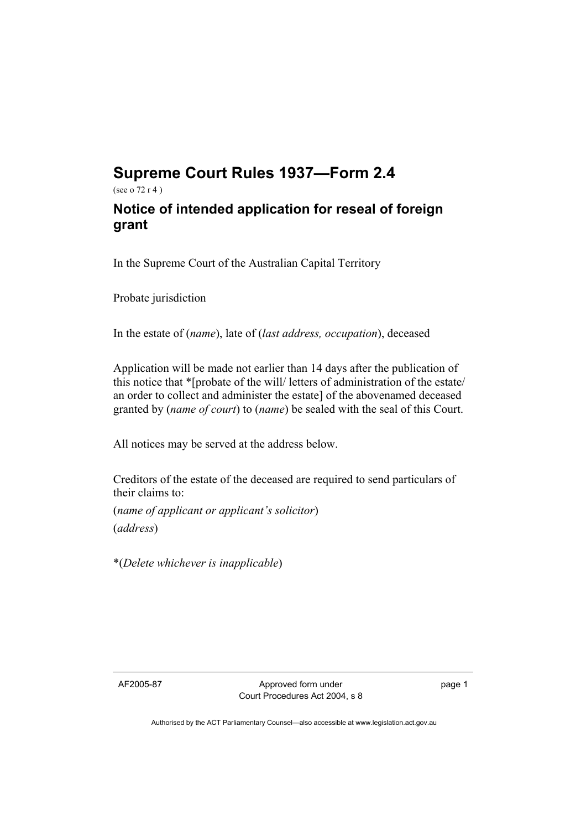## **Supreme Court Rules 1937—Form 2.4**

(see o 72 r 4 )

## **Notice of intended application for reseal of foreign grant**

In the Supreme Court of the Australian Capital Territory

Probate jurisdiction

In the estate of (*name*), late of (*last address, occupation*), deceased

Application will be made not earlier than 14 days after the publication of this notice that \*[probate of the will/ letters of administration of the estate/ an order to collect and administer the estate] of the abovenamed deceased granted by (*name of court*) to (*name*) be sealed with the seal of this Court.

All notices may be served at the address below.

Creditors of the estate of the deceased are required to send particulars of their claims to:

(*name of applicant or applicant's solicitor*) (*address*)

\*(*Delete whichever is inapplicable*)

AF2005-87 Approved form under Court Procedures Act 2004, s 8 page 1

Authorised by the ACT Parliamentary Counsel—also accessible at www.legislation.act.gov.au